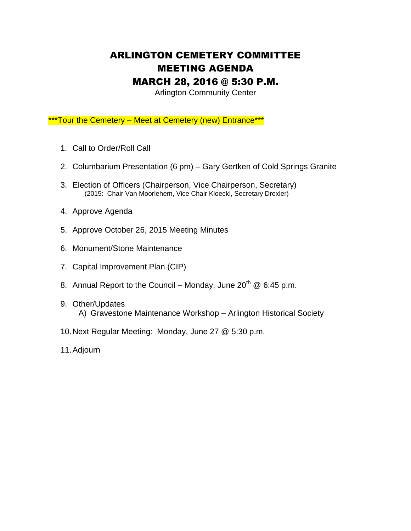## ARLINGTON CEMETERY COMMITTEE MEETING AGENDA MARCH 28, 2016 @ 5:30 P.M.

Arlington Community Center

\*\*\*Tour the Cemetery – Meet at Cemetery (new) Entrance\*\*\*

- 1. Call to Order/Roll Call
- 2. Columbarium Presentation (6 pm) Gary Gertken of Cold Springs Granite
- 3. Election of Officers (Chairperson, Vice Chairperson, Secretary) (2015: Chair Van Moorlehem, Vice Chair Kloeckl, Secretary Drexler)
- 4. Approve Agenda
- 5. Approve October 26, 2015 Meeting Minutes
- 6. Monument/Stone Maintenance
- 7. Capital Improvement Plan (CIP)
- 8. Annual Report to the Council Monday, June  $20^{th}$  @ 6:45 p.m.
- 9. Other/Updates A) Gravestone Maintenance Workshop – Arlington Historical Society
- 10.Next Regular Meeting: Monday, June 27 @ 5:30 p.m.
- 11.Adjourn